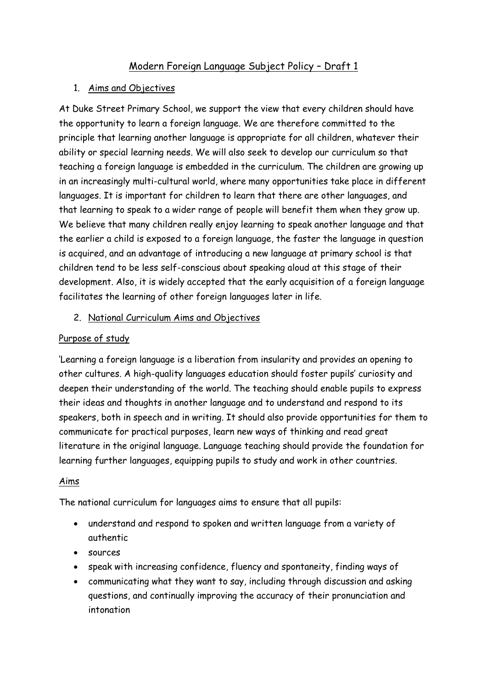# Modern Foreign Language Subject Policy – Draft 1

### 1. Aims and Objectives

At Duke Street Primary School, we support the view that every children should have the opportunity to learn a foreign language. We are therefore committed to the principle that learning another language is appropriate for all children, whatever their ability or special learning needs. We will also seek to develop our curriculum so that teaching a foreign language is embedded in the curriculum. The children are growing up in an increasingly multi-cultural world, where many opportunities take place in different languages. It is important for children to learn that there are other languages, and that learning to speak to a wider range of people will benefit them when they grow up. We believe that many children really enjoy learning to speak another language and that the earlier a child is exposed to a foreign language, the faster the language in question is acquired, and an advantage of introducing a new language at primary school is that children tend to be less self-conscious about speaking aloud at this stage of their development. Also, it is widely accepted that the early acquisition of a foreign language facilitates the learning of other foreign languages later in life.

### 2. National Curriculum Aims and Objectives

### Purpose of study

'Learning a foreign language is a liberation from insularity and provides an opening to other cultures. A high-quality languages education should foster pupils' curiosity and deepen their understanding of the world. The teaching should enable pupils to express their ideas and thoughts in another language and to understand and respond to its speakers, both in speech and in writing. It should also provide opportunities for them to communicate for practical purposes, learn new ways of thinking and read great literature in the original language. Language teaching should provide the foundation for learning further languages, equipping pupils to study and work in other countries.

#### Aims

The national curriculum for languages aims to ensure that all pupils:

- understand and respond to spoken and written language from a variety of authentic
- sources
- speak with increasing confidence, fluency and spontaneity, finding ways of
- communicating what they want to say, including through discussion and asking questions, and continually improving the accuracy of their pronunciation and intonation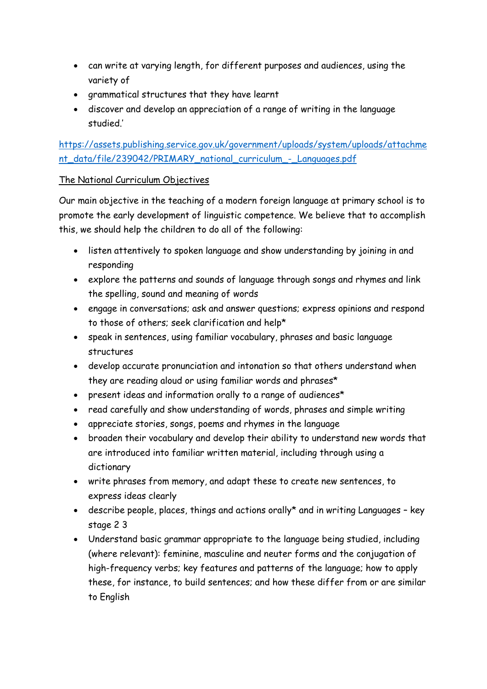- can write at varying length, for different purposes and audiences, using the variety of
- grammatical structures that they have learnt
- discover and develop an appreciation of a range of writing in the language studied.'

# [https://assets.publishing.service.gov.uk/government/uploads/system/uploads/attachme](https://assets.publishing.service.gov.uk/government/uploads/system/uploads/attachment_data/file/239042/PRIMARY_national_curriculum_-_Languages.pdf) [nt\\_data/file/239042/PRIMARY\\_national\\_curriculum\\_-\\_Languages.pdf](https://assets.publishing.service.gov.uk/government/uploads/system/uploads/attachment_data/file/239042/PRIMARY_national_curriculum_-_Languages.pdf)

# The National Curriculum Objectives

Our main objective in the teaching of a modern foreign language at primary school is to promote the early development of linguistic competence. We believe that to accomplish this, we should help the children to do all of the following:

- listen attentively to spoken language and show understanding by joining in and responding
- explore the patterns and sounds of language through songs and rhymes and link the spelling, sound and meaning of words
- engage in conversations; ask and answer questions; express opinions and respond to those of others; seek clarification and help\*
- speak in sentences, using familiar vocabulary, phrases and basic language structures
- develop accurate pronunciation and intonation so that others understand when they are reading aloud or using familiar words and phrases\*
- present ideas and information orally to a range of audiences\*
- read carefully and show understanding of words, phrases and simple writing
- appreciate stories, songs, poems and rhymes in the language
- broaden their vocabulary and develop their ability to understand new words that are introduced into familiar written material, including through using a dictionary
- write phrases from memory, and adapt these to create new sentences, to express ideas clearly
- describe people, places, things and actions orally\* and in writing Languages key stage 2 3
- Understand basic grammar appropriate to the language being studied, including (where relevant): feminine, masculine and neuter forms and the conjugation of high-frequency verbs; key features and patterns of the language; how to apply these, for instance, to build sentences; and how these differ from or are similar to English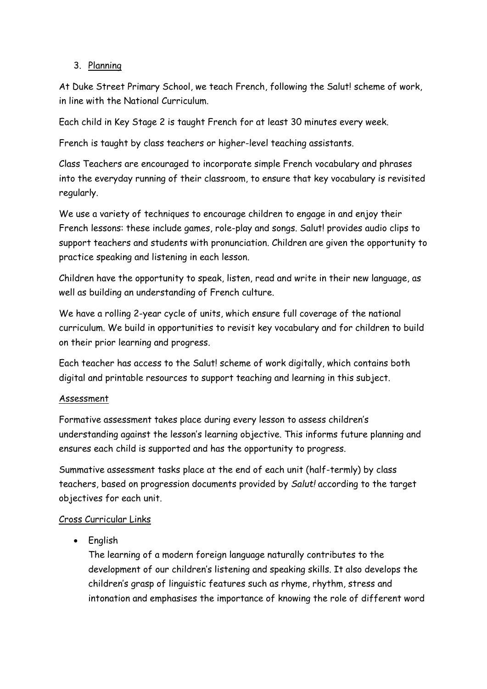# 3. Planning

At Duke Street Primary School, we teach French, following the Salut! scheme of work, in line with the National Curriculum.

Each child in Key Stage 2 is taught French for at least 30 minutes every week.

French is taught by class teachers or higher-level teaching assistants.

Class Teachers are encouraged to incorporate simple French vocabulary and phrases into the everyday running of their classroom, to ensure that key vocabulary is revisited regularly.

We use a variety of techniques to encourage children to engage in and enjoy their French lessons: these include games, role-play and songs. Salut! provides audio clips to support teachers and students with pronunciation. Children are given the opportunity to practice speaking and listening in each lesson.

Children have the opportunity to speak, listen, read and write in their new language, as well as building an understanding of French culture.

We have a rolling 2-year cycle of units, which ensure full coverage of the national curriculum. We build in opportunities to revisit key vocabulary and for children to build on their prior learning and progress.

Each teacher has access to the Salut! scheme of work digitally, which contains both digital and printable resources to support teaching and learning in this subject.

# Assessment

Formative assessment takes place during every lesson to assess children's understanding against the lesson's learning objective. This informs future planning and ensures each child is supported and has the opportunity to progress.

Summative assessment tasks place at the end of each unit (half-termly) by class teachers, based on progression documents provided by *Salut!* according to the target objectives for each unit.

# Cross Curricular Links

English

The learning of a modern foreign language naturally contributes to the development of our children's listening and speaking skills. It also develops the children's grasp of linguistic features such as rhyme, rhythm, stress and intonation and emphasises the importance of knowing the role of different word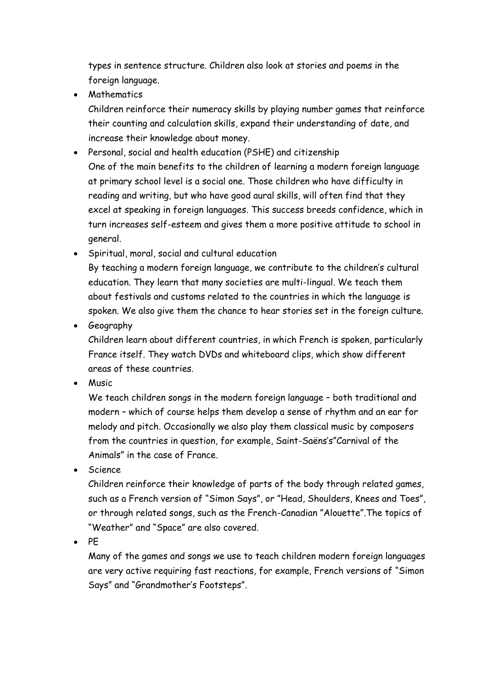types in sentence structure. Children also look at stories and poems in the foreign language.

• Mathematics

Children reinforce their numeracy skills by playing number games that reinforce their counting and calculation skills, expand their understanding of date, and increase their knowledge about money.

- Personal, social and health education (PSHE) and citizenship One of the main benefits to the children of learning a modern foreign language at primary school level is a social one. Those children who have difficulty in reading and writing, but who have good aural skills, will often find that they excel at speaking in foreign languages. This success breeds confidence, which in turn increases self-esteem and gives them a more positive attitude to school in general.
- Spiritual, moral, social and cultural education By teaching a modern foreign language, we contribute to the children's cultural education. They learn that many societies are multi-lingual. We teach them about festivals and customs related to the countries in which the language is spoken. We also give them the chance to hear stories set in the foreign culture.
- Geography

Children learn about different countries, in which French is spoken, particularly France itself. They watch DVDs and whiteboard clips, which show different areas of these countries.

• Music

We teach children songs in the modern foreign language – both traditional and modern – which of course helps them develop a sense of rhythm and an ear for melody and pitch. Occasionally we also play them classical music by composers from the countries in question, for example, Saint-Saëns's"Carnival of the Animals" in the case of France.

• Science

Children reinforce their knowledge of parts of the body through related games, such as a French version of "Simon Says", or "Head, Shoulders, Knees and Toes", or through related songs, such as the French-Canadian "Alouette".The topics of "Weather" and "Space" are also covered.

 $\bullet$  PF

Many of the games and songs we use to teach children modern foreign languages are very active requiring fast reactions, for example, French versions of "Simon Says" and "Grandmother's Footsteps".